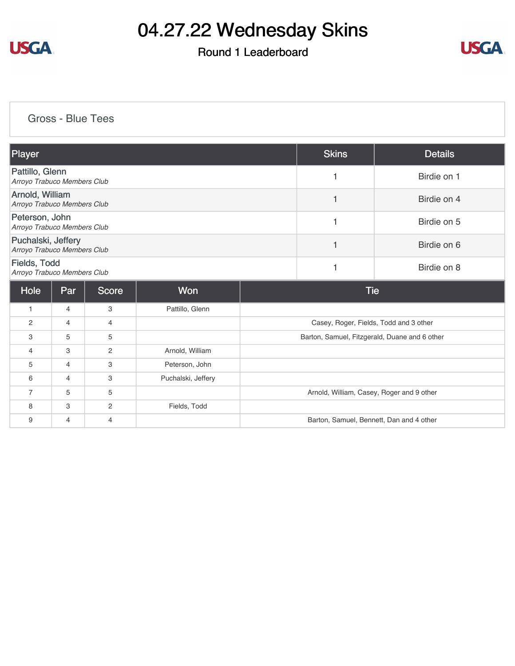

### Round 1 Leaderboard



#### [Gross - Blue Tees](https://static.golfgenius.com/v2tournaments/8424871388132696441?called_from=&round_index=1)

| Player                                            |                |                |                    |  | <b>Skins</b>                                  | <b>Details</b> |  |
|---------------------------------------------------|----------------|----------------|--------------------|--|-----------------------------------------------|----------------|--|
| Pattillo, Glenn<br>Arroyo Trabuco Members Club    |                |                |                    |  | 1                                             | Birdie on 1    |  |
| Arnold, William<br>Arroyo Trabuco Members Club    |                |                |                    |  | 1                                             | Birdie on 4    |  |
| Peterson, John<br>Arroyo Trabuco Members Club     |                |                |                    |  | 1                                             | Birdie on 5    |  |
| Puchalski, Jeffery<br>Arroyo Trabuco Members Club |                |                |                    |  | 1                                             | Birdie on 6    |  |
| Fields, Todd<br>Arroyo Trabuco Members Club       |                |                |                    |  | 1                                             | Birdie on 8    |  |
| Hole                                              | Par            | Score          | <b>Won</b>         |  | <b>Tie</b>                                    |                |  |
| $\mathbf{1}$                                      | $\overline{4}$ | 3              | Pattillo, Glenn    |  |                                               |                |  |
| $\overline{2}$                                    | $\overline{4}$ | 4              |                    |  | Casey, Roger, Fields, Todd and 3 other        |                |  |
| 3                                                 | 5              | 5              |                    |  | Barton, Samuel, Fitzgerald, Duane and 6 other |                |  |
| 4                                                 | 3              | 2              | Arnold, William    |  |                                               |                |  |
| 5                                                 | 4              | 3              | Peterson, John     |  |                                               |                |  |
| 6                                                 | $\overline{4}$ | 3              | Puchalski, Jeffery |  |                                               |                |  |
| $\overline{7}$                                    | 5              | 5              |                    |  | Arnold, William, Casey, Roger and 9 other     |                |  |
| 8                                                 | 3              | 2              | Fields, Todd       |  |                                               |                |  |
| 9                                                 | 4              | $\overline{4}$ |                    |  | Barton, Samuel, Bennett, Dan and 4 other      |                |  |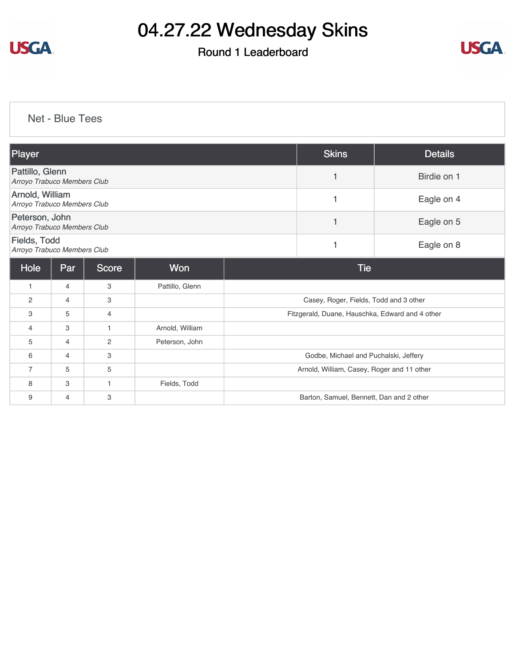

### Round 1 Leaderboard



#### [Net - Blue Tees](https://static.golfgenius.com/v2tournaments/8424873370327212411?called_from=&round_index=1)

| Player                                         |                |                |                 | <b>Skins</b>                             | <b>Details</b>                                  |            |
|------------------------------------------------|----------------|----------------|-----------------|------------------------------------------|-------------------------------------------------|------------|
| Pattillo, Glenn<br>Arroyo Trabuco Members Club |                |                |                 | $\mathbf{1}$                             | Birdie on 1                                     |            |
| Arnold, William<br>Arroyo Trabuco Members Club |                |                |                 | 1                                        | Eagle on 4                                      |            |
| Peterson, John<br>Arroyo Trabuco Members Club  |                |                |                 | $\overline{1}$                           | Eagle on 5                                      |            |
| Fields, Todd<br>Arroyo Trabuco Members Club    |                |                |                 |                                          | 1                                               | Eagle on 8 |
| Hole                                           | Par            | Score          | Won             |                                          | <b>Tie</b>                                      |            |
| 1                                              | 4              | 3              | Pattillo, Glenn |                                          |                                                 |            |
| 2                                              | 4              | 3              |                 |                                          | Casey, Roger, Fields, Todd and 3 other          |            |
| 3                                              | 5              | $\overline{4}$ |                 |                                          | Fitzgerald, Duane, Hauschka, Edward and 4 other |            |
| $\overline{4}$                                 | 3              | $\mathbf{1}$   | Arnold, William |                                          |                                                 |            |
| 5                                              | 4              | $\overline{c}$ | Peterson, John  |                                          |                                                 |            |
| 6                                              | $\overline{4}$ | 3              |                 |                                          | Godbe, Michael and Puchalski, Jeffery           |            |
| $\overline{7}$                                 | 5              | 5              |                 |                                          | Arnold, William, Casey, Roger and 11 other      |            |
| 8                                              | З              | $\mathbf{1}$   | Fields, Todd    |                                          |                                                 |            |
| 9                                              | 4              | 3              |                 | Barton, Samuel, Bennett, Dan and 2 other |                                                 |            |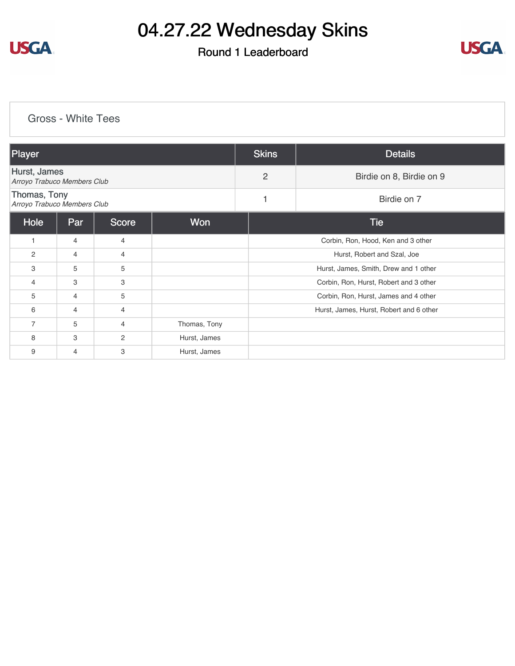

### Round 1 Leaderboard



#### [Gross - White Tees](https://static.golfgenius.com/v2tournaments/8425572469200413161?called_from=&round_index=1)

| Player                                      |     |                |              | <b>Skins</b>   | <b>Details</b>                          |  |  |
|---------------------------------------------|-----|----------------|--------------|----------------|-----------------------------------------|--|--|
| Hurst, James<br>Arroyo Trabuco Members Club |     |                |              | $\overline{2}$ | Birdie on 8, Birdie on 9                |  |  |
| Thomas, Tony<br>Arroyo Trabuco Members Club |     |                |              | 1              | Birdie on 7                             |  |  |
| Hole                                        | Par | Score          | Won          |                | <b>Tie</b>                              |  |  |
| $\mathbf{1}$                                | 4   | 4              |              |                | Corbin, Ron, Hood, Ken and 3 other      |  |  |
| $\overline{2}$                              | 4   | $\overline{4}$ |              |                | Hurst, Robert and Szal, Joe             |  |  |
| 3                                           | 5   | 5              |              |                | Hurst, James, Smith, Drew and 1 other   |  |  |
| $\overline{4}$                              | 3   | 3              |              |                | Corbin, Ron, Hurst, Robert and 3 other  |  |  |
| 5                                           | 4   | 5              |              |                | Corbin, Ron, Hurst, James and 4 other   |  |  |
| 6                                           | 4   | $\overline{4}$ |              |                | Hurst, James, Hurst, Robert and 6 other |  |  |
| $\overline{7}$                              | 5   | 4              | Thomas, Tony |                |                                         |  |  |
| 8                                           | 3   | $\overline{2}$ | Hurst, James |                |                                         |  |  |
| 9                                           | 4   | 3              | Hurst, James |                |                                         |  |  |